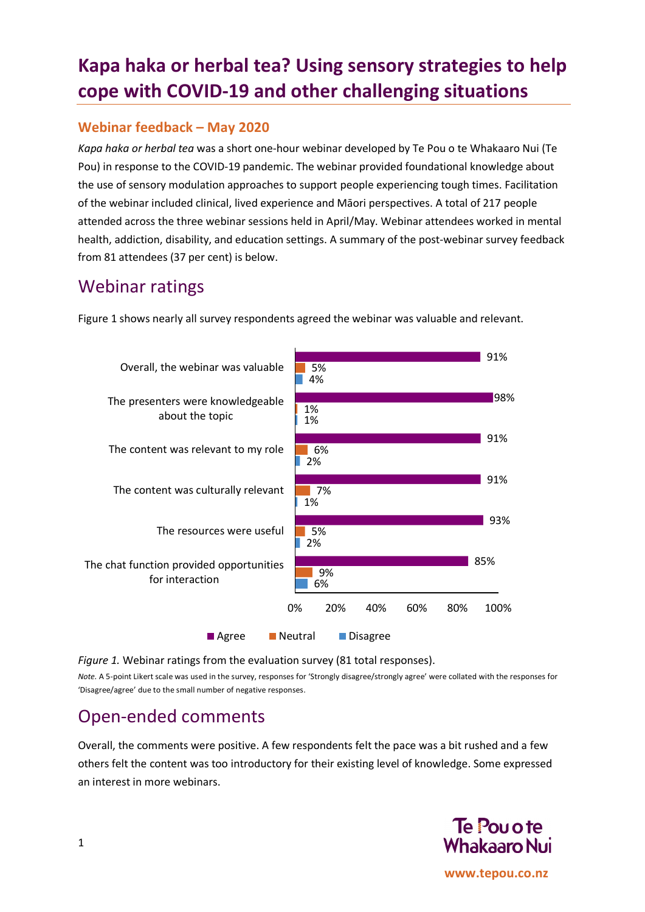# **Kapa haka or herbal tea? Using sensory strategies to help cope with COVID-19 and other challenging situations**

#### **Webinar feedback – May 2020**

*Kapa haka or herbal tea* was a short one-hour webinar developed by Te Pou o te Whakaaro Nui (Te Pou) in response to the COVID-19 pandemic. The webinar provided foundational knowledge about the use of sensory modulation approaches to support people experiencing tough times. Facilitation of the webinar included clinical, lived experience and Māori perspectives. A total of 217 people attended across the three webinar sessions held in April/May. Webinar attendees worked in mental health, addiction, disability, and education settings. A summary of the post-webinar survey feedback from 81 attendees (37 per cent) is below.

### Webinar ratings

Figure 1 shows nearly all survey respondents agreed the webinar was valuable and relevant.



*Figure 1.* Webinar ratings from the evaluation survey (81 total responses).

*Note.* A 5-point Likert scale was used in the survey, responses for 'Strongly disagree/strongly agree' were collated with the responses for 'Disagree/agree' due to the small number of negative responses.

## Open-ended comments

Overall, the comments were positive. A few respondents felt the pace was a bit rushed and a few others felt the content was too introductory for their existing level of knowledge. Some expressed an interest in more webinars.